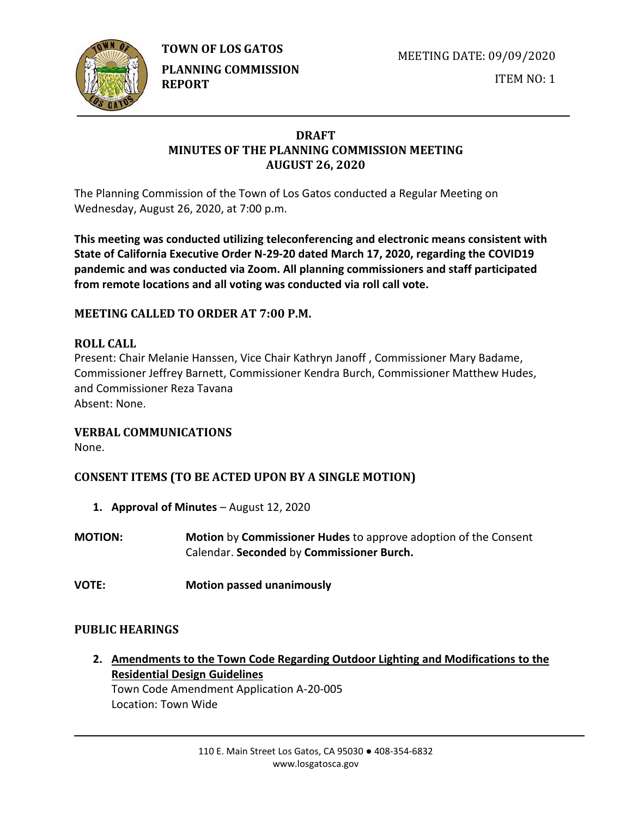**TOWN OF LOS GATOS** 



**PLANNING COMMISSION REPORT**

MEETING DATE: 09/09/2020

ITEM NO: 1

## **DRAFT MINUTES OF THE PLANNING COMMISSION MEETING AUGUST 26, 2020**

The Planning Commission of the Town of Los Gatos conducted a Regular Meeting on Wednesday, August 26, 2020, at 7:00 p.m.

**This meeting was conducted utilizing teleconferencing and electronic means consistent with State of California Executive Order N-29-20 dated March 17, 2020, regarding the COVID19 pandemic and was conducted via Zoom. All planning commissioners and staff participated from remote locations and all voting was conducted via roll call vote.**

# **MEETING CALLED TO ORDER AT 7:00 P.M.**

## **ROLL CALL**

Present: Chair Melanie Hanssen, Vice Chair Kathryn Janoff , Commissioner Mary Badame, Commissioner Jeffrey Barnett, Commissioner Kendra Burch, Commissioner Matthew Hudes, and Commissioner Reza Tavana Absent: None.

### **VERBAL COMMUNICATIONS**

None.

# **CONSENT ITEMS (TO BE ACTED UPON BY A SINGLE MOTION)**

- **1. Approval of Minutes** August 12, 2020
- **MOTION: Motion** by **Commissioner Hudes** to approve adoption of the Consent Calendar. **Seconded** by **Commissioner Burch.**
- **VOTE: Motion passed unanimously**

## **PUBLIC HEARINGS**

**2. Amendments to the Town Code Regarding Outdoor Lighting and Modifications to the Residential Design Guidelines** Town Code Amendment Application A-20-005

Location: Town Wide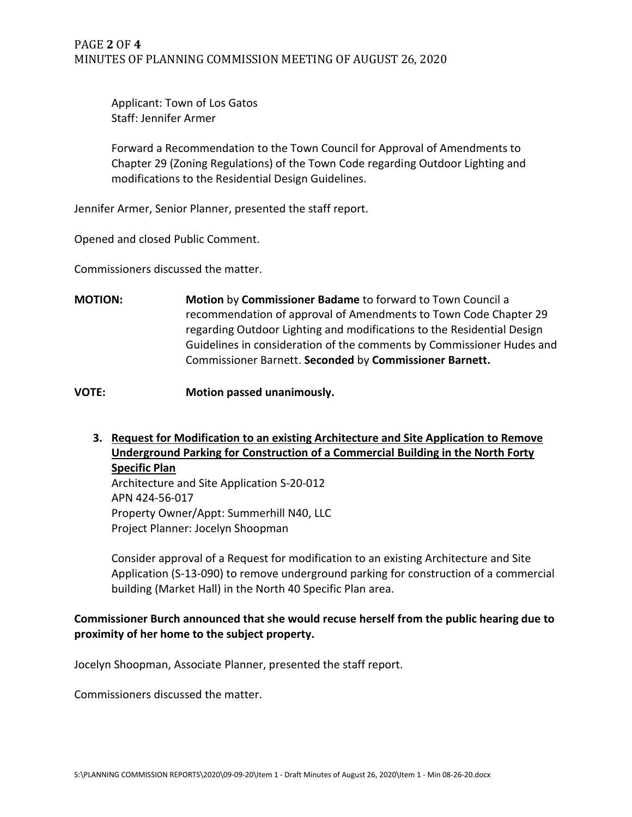Applicant: Town of Los Gatos Staff: Jennifer Armer

Forward a Recommendation to the Town Council for Approval of Amendments to Chapter 29 (Zoning Regulations) of the Town Code regarding Outdoor Lighting and modifications to the Residential Design Guidelines.

Jennifer Armer, Senior Planner, presented the staff report.

Opened and closed Public Comment.

Commissioners discussed the matter.

**MOTION: Motion** by **Commissioner Badame** to forward to Town Council a recommendation of approval of Amendments to Town Code Chapter 29 regarding Outdoor Lighting and modifications to the Residential Design Guidelines in consideration of the comments by Commissioner Hudes and Commissioner Barnett. **Seconded** by **Commissioner Barnett.**

**VOTE: Motion passed unanimously.**

**3. Request for Modification to an existing Architecture and Site Application to Remove Underground Parking for Construction of a Commercial Building in the North Forty Specific Plan**

Architecture and Site Application S-20-012 APN 424-56-017 Property Owner/Appt: Summerhill N40, LLC Project Planner: Jocelyn Shoopman

Consider approval of a Request for modification to an existing Architecture and Site Application (S-13-090) to remove underground parking for construction of a commercial building (Market Hall) in the North 40 Specific Plan area.

### **Commissioner Burch announced that she would recuse herself from the public hearing due to proximity of her home to the subject property.**

Jocelyn Shoopman, Associate Planner, presented the staff report.

Commissioners discussed the matter.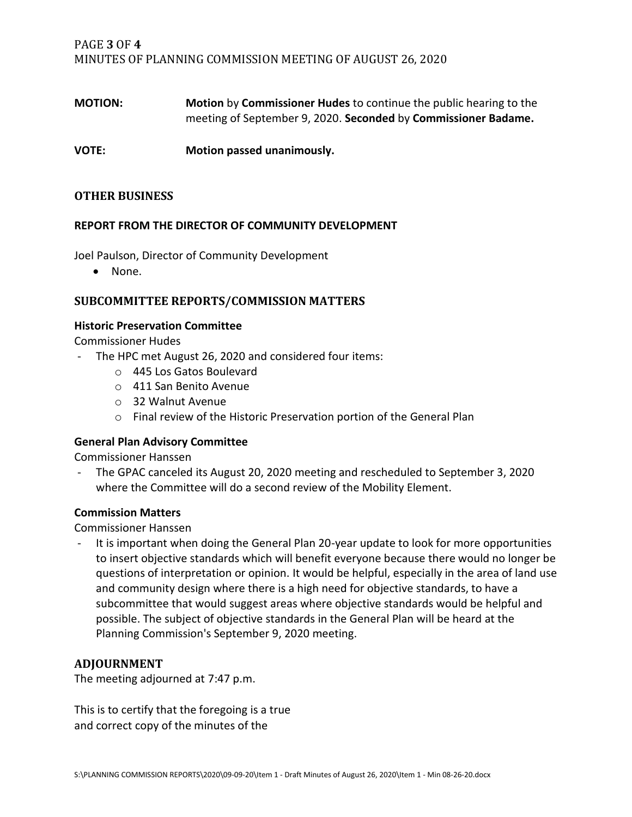PAGE **3** OF **4** MINUTES OF PLANNING COMMISSION MEETING OF AUGUST 26, 2020

**MOTION: Motion** by **Commissioner Hudes** to continue the public hearing to the meeting of September 9, 2020. **Seconded** by **Commissioner Badame.**

**VOTE: Motion passed unanimously.**

### **OTHER BUSINESS**

#### **REPORT FROM THE DIRECTOR OF COMMUNITY DEVELOPMENT**

Joel Paulson, Director of Community Development

• None.

#### **SUBCOMMITTEE REPORTS/COMMISSION MATTERS**

#### **Historic Preservation Committee**

Commissioner Hudes

- The HPC met August 26, 2020 and considered four items:
	- o 445 Los Gatos Boulevard
	- o 411 San Benito Avenue
	- o 32 Walnut Avenue
	- o Final review of the Historic Preservation portion of the General Plan

#### **General Plan Advisory Committee**

Commissioner Hanssen

- The GPAC canceled its August 20, 2020 meeting and rescheduled to September 3, 2020 where the Committee will do a second review of the Mobility Element.

#### **Commission Matters**

Commissioner Hanssen

It is important when doing the General Plan 20-year update to look for more opportunities to insert objective standards which will benefit everyone because there would no longer be questions of interpretation or opinion. It would be helpful, especially in the area of land use and community design where there is a high need for objective standards, to have a subcommittee that would suggest areas where objective standards would be helpful and possible. The subject of objective standards in the General Plan will be heard at the Planning Commission's September 9, 2020 meeting.

#### **ADJOURNMENT**

The meeting adjourned at 7:47 p.m.

This is to certify that the foregoing is a true and correct copy of the minutes of the